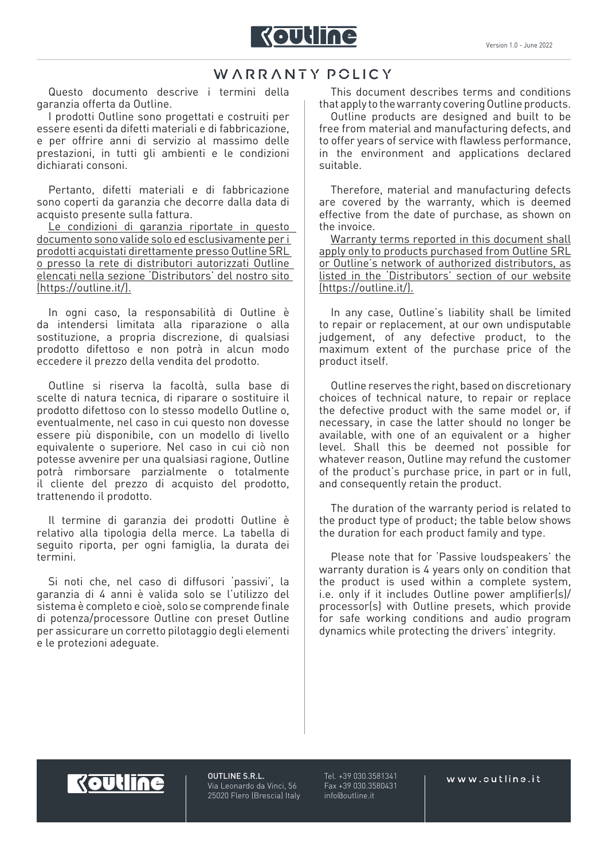

## WARRANTY POLICY

Questo documento descrive i termini della garanzia offerta da Outline.

I prodotti Outline sono progettati e costruiti per essere esenti da difetti materiali e di fabbricazione, e per offrire anni di servizio al massimo delle prestazioni, in tutti gli ambienti e le condizioni dichiarati consoni.

Pertanto, difetti materiali e di fabbricazione sono coperti da garanzia che decorre dalla data di acquisto presente sulla fattura.

Le condizioni di garanzia riportate in questo documento sono valide solo ed esclusivamente per i prodotti acquistati direttamente presso Outline SRL o presso la rete di distributori autorizzati Outline elencati nella sezione 'Distributors' del nostro sito (https://outline.it/).

In ogni caso, la responsabilità di Outline è da intendersi limitata alla riparazione o alla sostituzione, a propria discrezione, di qualsiasi prodotto difettoso e non potrà in alcun modo eccedere il prezzo della vendita del prodotto.

Outline si riserva la facoltà, sulla base di scelte di natura tecnica, di riparare o sostituire il prodotto difettoso con lo stesso modello Outline o, eventualmente, nel caso in cui questo non dovesse essere più disponibile, con un modello di livello equivalente o superiore. Nel caso in cui ciò non potesse avvenire per una qualsiasi ragione, Outline potrà rimborsare parzialmente o totalmente il cliente del prezzo di acquisto del prodotto, trattenendo il prodotto.

Il termine di garanzia dei prodotti Outline è relativo alla tipologia della merce. La tabella di seguito riporta, per ogni famiglia, la durata dei termini.

Si noti che, nel caso di diffusori 'passivi', la garanzia di 4 anni è valida solo se l'utilizzo del sistema è completo e cioè, solo se comprende finale di potenza/processore Outline con preset Outline per assicurare un corretto pilotaggio degli elementi e le protezioni adeguate.

This document describes terms and conditions that apply to the warranty covering Outline products.

Outline products are designed and built to be free from material and manufacturing defects, and to offer years of service with flawless performance, in the environment and applications declared suitable.

Therefore, material and manufacturing defects are covered by the warranty, which is deemed effective from the date of purchase, as shown on the invoice.

Warranty terms reported in this document shall apply only to products purchased from Outline SRL or Outline's network of authorized distributors, as listed in the 'Distributors' section of our website (https://outline.it/).

In any case, Outline's liability shall be limited to repair or replacement, at our own undisputable judgement, of any defective product, to the maximum extent of the purchase price of the product itself.

Outline reserves the right, based on discretionary choices of technical nature, to repair or replace the defective product with the same model or, if necessary, in case the latter should no longer be available, with one of an equivalent or a higher level. Shall this be deemed not possible for whatever reason, Outline may refund the customer of the product's purchase price, in part or in full, and consequently retain the product.

The duration of the warranty period is related to the product type of product; the table below shows the duration for each product family and type.

Please note that for 'Passive loudspeakers' the warranty duration is 4 years only on condition that the product is used within a complete system, i.e. only if it includes Outline power amplifier(s)/ processor(s) with Outline presets, which provide for safe working conditions and audio program dynamics while protecting the drivers' integrity.

## **Koutline**

OUTLINE S.R.L. Via Leonardo da Vinci, 56 25020 Flero (Brescia) Italy

Tel. +39 030.3581341 Fax +39 030.3580431 info@outline.it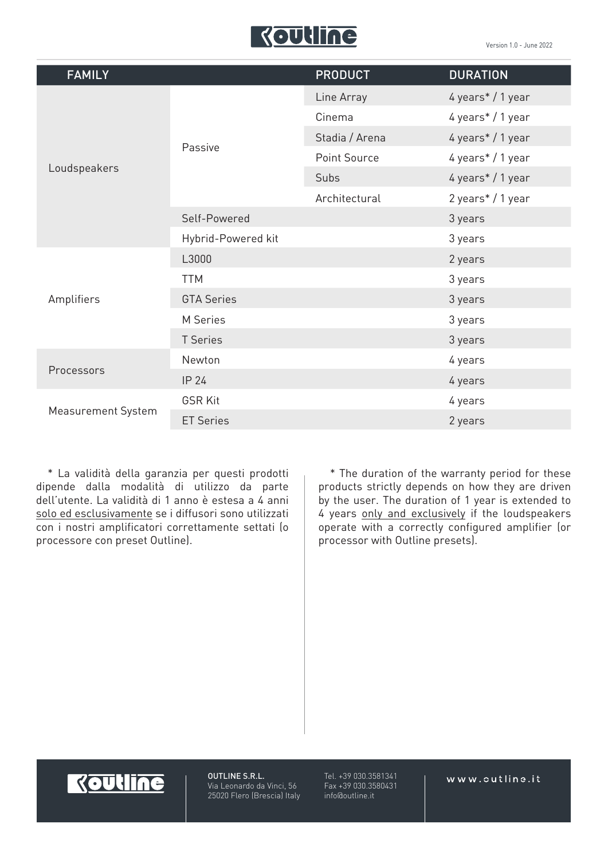

| <b>FAMILY</b>      |                    | <b>PRODUCT</b> | <b>DURATION</b>   |
|--------------------|--------------------|----------------|-------------------|
| Loudspeakers       | Passive            | Line Array     | 4 years* / 1 year |
|                    |                    | Cinema         | 4 years* / 1 year |
|                    |                    | Stadia / Arena | 4 years* / 1 year |
|                    |                    | Point Source   | 4 years* / 1 year |
|                    |                    | Subs           | 4 years* / 1 year |
|                    |                    | Architectural  | 2 years* / 1 year |
|                    | Self-Powered       |                | 3 years           |
|                    | Hybrid-Powered kit |                | 3 years           |
| Amplifiers         | L3000              |                | 2 years           |
|                    | <b>TTM</b>         |                | 3 years           |
|                    | <b>GTA Series</b>  |                | 3 years           |
|                    | M Series           |                | 3 years           |
|                    | <b>T</b> Series    |                | 3 years           |
| Processors         | Newton             |                | 4 years           |
|                    | IP 24              |                | 4 years           |
| Measurement System | <b>GSR Kit</b>     |                | 4 years           |
|                    | <b>ET Series</b>   |                | 2 years           |

\* La validità della garanzia per questi prodotti dipende dalla modalità di utilizzo da parte dell'utente. La validità di 1 anno è estesa a 4 anni solo ed esclusivamente se i diffusori sono utilizzati con i nostri amplificatori correttamente settati (o processore con preset Outline).

\* The duration of the warranty period for these products strictly depends on how they are driven by the user. The duration of 1 year is extended to 4 years only and exclusively if the loudspeakers operate with a correctly configured amplifier (or processor with Outline presets).



OUTLINE S.R.L. Via Leonardo da Vinci, 56 25020 Flero (Brescia) Italy Tel. +39 030.3581341 Fax +39 030.3580431 info@outline.it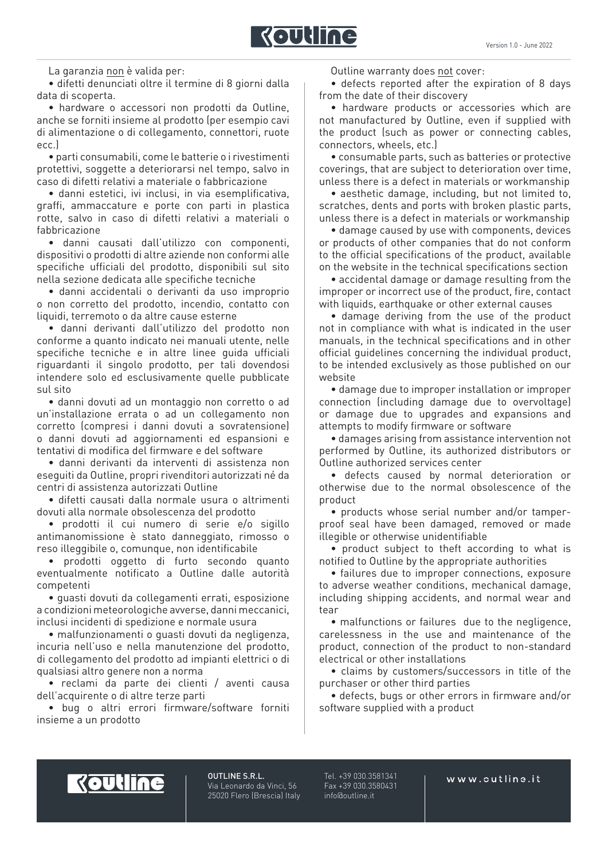

La garanzia non è valida per:

• difetti denunciati oltre il termine di 8 giorni dalla data di scoperta.

• hardware o accessori non prodotti da Outline, anche se forniti insieme al prodotto (per esempio cavi di alimentazione o di collegamento, connettori, ruote ecc.)

• parti consumabili, come le batterie o i rivestimenti protettivi, soggette a deteriorarsi nel tempo, salvo in caso di difetti relativi a materiale o fabbricazione

• danni estetici, ivi inclusi, in via esemplificativa, graffi, ammaccature e porte con parti in plastica rotte, salvo in caso di difetti relativi a materiali o fabbricazione

• danni causati dall'utilizzo con componenti, dispositivi o prodotti di altre aziende non conformi alle specifiche ufficiali del prodotto, disponibili sul sito nella sezione dedicata alle specifiche tecniche

• danni accidentali o derivanti da uso improprio o non corretto del prodotto, incendio, contatto con liquidi, terremoto o da altre cause esterne

• danni derivanti dall'utilizzo del prodotto non conforme a quanto indicato nei manuali utente, nelle specifiche tecniche e in altre linee guida ufficiali riguardanti il singolo prodotto, per tali dovendosi intendere solo ed esclusivamente quelle pubblicate sul sito

• danni dovuti ad un montaggio non corretto o ad un'installazione errata o ad un collegamento non corretto (compresi i danni dovuti a sovratensione) o danni dovuti ad aggiornamenti ed espansioni e tentativi di modifica del firmware e del software

• danni derivanti da interventi di assistenza non eseguiti da Outline, propri rivenditori autorizzati né da centri di assistenza autorizzati Outline

• difetti causati dalla normale usura o altrimenti dovuti alla normale obsolescenza del prodotto

• prodotti il cui numero di serie e/o sigillo antimanomissione è stato danneggiato, rimosso o reso illeggibile o, comunque, non identificabile

• prodotti oggetto di furto secondo quanto eventualmente notificato a Outline dalle autorità competenti

• guasti dovuti da collegamenti errati, esposizione a condizioni meteorologiche avverse, danni meccanici, inclusi incidenti di spedizione e normale usura

• malfunzionamenti o guasti dovuti da negligenza, incuria nell'uso e nella manutenzione del prodotto, di collegamento del prodotto ad impianti elettrici o di qualsiasi altro genere non a norma

• reclami da parte dei clienti / aventi causa dell'acquirente o di altre terze parti

• bug o altri errori firmware/software forniti insieme a un prodotto

Outline warranty does not cover:

• defects reported after the expiration of 8 days from the date of their discovery

• hardware products or accessories which are not manufactured by Outline, even if supplied with the product (such as power or connecting cables, connectors, wheels, etc.)

• consumable parts, such as batteries or protective coverings, that are subject to deterioration over time, unless there is a defect in materials or workmanship

• aesthetic damage, including, but not limited to, scratches, dents and ports with broken plastic parts, unless there is a defect in materials or workmanship

• damage caused by use with components, devices or products of other companies that do not conform to the official specifications of the product, available on the website in the technical specifications section

• accidental damage or damage resulting from the improper or incorrect use of the product, fire, contact with liquids, earthquake or other external causes

• damage deriving from the use of the product not in compliance with what is indicated in the user manuals, in the technical specifications and in other official guidelines concerning the individual product, to be intended exclusively as those published on our website

• damage due to improper installation or improper connection (including damage due to overvoltage) or damage due to upgrades and expansions and attempts to modify firmware or software

• damages arising from assistance intervention not performed by Outline, its authorized distributors or Outline authorized services center

• defects caused by normal deterioration or otherwise due to the normal obsolescence of the product

• products whose serial number and/or tamperproof seal have been damaged, removed or made illegible or otherwise unidentifiable

• product subject to theft according to what is notified to Outline by the appropriate authorities

• failures due to improper connections, exposure to adverse weather conditions, mechanical damage, including shipping accidents, and normal wear and tear

• malfunctions or failures due to the negligence, carelessness in the use and maintenance of the product, connection of the product to non-standard electrical or other installations

• claims by customers/successors in title of the purchaser or other third parties

• defects, bugs or other errors in firmware and/or software supplied with a product



OUTLINE S.R.L. Via Leonardo da Vinci, 56 25020 Flero (Brescia) Italy

Tel. +39 030.3581341 Fax +39 030.3580431 info@outline.it